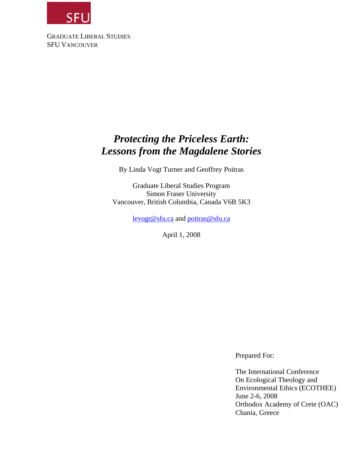

GRADUATE LIBERAL STUDIES SFU VANCOUVER

# *Protecting the Priceless Earth: Lessons from the Magdalene Stories*

By Linda Vogt Turner and Geoffrey Poitras

Graduate Liberal Studies Program Simon Fraser University Vancouver, British Columbia, Canada V6B 5K3

[levogt@sfu.ca](mailto:levogt@sfu.ca) and [poitras@sfu.ca](mailto:poitras@sfu.ca)

April 1, 2008

Prepared For:

The International Conference On Ecological Theology and Environmental Ethics (ECOTHEE) June 2-6, 2008 Orthodox Academy of Crete (OAC) Chania, Greece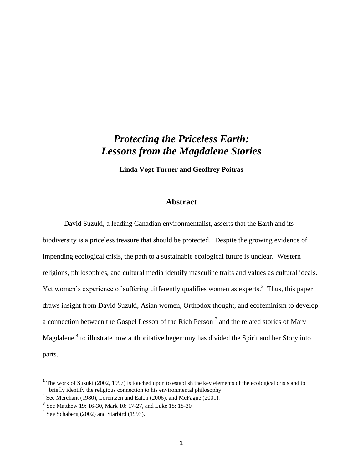# *Protecting the Priceless Earth: Lessons from the Magdalene Stories*

**Linda Vogt Turner and Geoffrey Poitras**

## **Abstract**

David Suzuki, a leading Canadian environmentalist, asserts that the Earth and its biodiversity is a priceless treasure that should be protected.<sup>1</sup> Despite the growing evidence of impending ecological crisis, the path to a sustainable ecological future is unclear. Western religions, philosophies, and cultural media identify masculine traits and values as cultural ideals. Yet women's experience of suffering differently qualifies women as experts.<sup>2</sup> Thus, this paper draws insight from David Suzuki, Asian women, Orthodox thought, and ecofeminism to develop a connection between the Gospel Lesson of the Rich Person<sup>3</sup> and the related stories of Mary Magdalene<sup>4</sup> to illustrate how authoritative hegemony has divided the Spirit and her Story into parts.

<sup>&</sup>lt;sup>1</sup> The work of Suzuki (2002, 1997) is touched upon to establish the key elements of the ecological crisis and to briefly identify the religious connection to his environmental philosophy.

<sup>&</sup>lt;sup>2</sup> See Merchant (1980), Lorentzen and Eaton (2006), and McFague (2001).

<sup>&</sup>lt;sup>3</sup> See Matthew 19: 16-30, Mark 10: 17-27, and Luke 18: 18-30

 $4$  See Schaberg (2002) and Starbird (1993).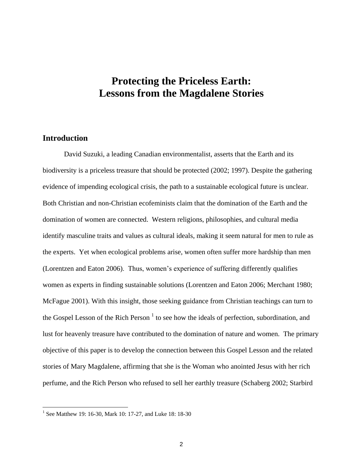# **Protecting the Priceless Earth: Lessons from the Magdalene Stories**

## **Introduction**

David Suzuki, a leading Canadian environmentalist, asserts that the Earth and its biodiversity is a priceless treasure that should be protected (2002; 1997). Despite the gathering evidence of impending ecological crisis, the path to a sustainable ecological future is unclear. Both Christian and non-Christian ecofeminists claim that the domination of the Earth and the domination of women are connected. Western religions, philosophies, and cultural media identify masculine traits and values as cultural ideals, making it seem natural for men to rule as the experts. Yet when ecological problems arise, women often suffer more hardship than men (Lorentzen and Eaton 2006). Thus, women"s experience of suffering differently qualifies women as experts in finding sustainable solutions (Lorentzen and Eaton 2006; Merchant 1980; McFague 2001). With this insight, those seeking guidance from Christian teachings can turn to the Gospel Lesson of the Rich Person  $<sup>1</sup>$  to see how the ideals of perfection, subordination, and</sup> lust for heavenly treasure have contributed to the domination of nature and women. The primary objective of this paper is to develop the connection between this Gospel Lesson and the related stories of Mary Magdalene, affirming that she is the Woman who anointed Jesus with her rich perfume, and the Rich Person who refused to sell her earthly treasure (Schaberg 2002; Starbird

<sup>&</sup>lt;sup>1</sup> See Matthew 19: 16-30, Mark 10: 17-27, and Luke 18: 18-30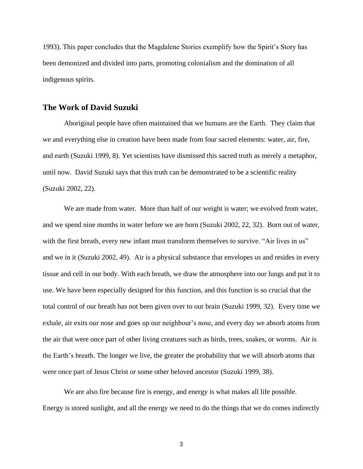1993). This paper concludes that the Magdalene Stories exemplify how the Spirit's Story has been demonized and divided into parts, promoting colonialism and the domination of all indigenous spirits.

## **The Work of David Suzuki**

Aboriginal people have often maintained that we humans are the Earth. They claim that we and everything else in creation have been made from four sacred elements: water, air, fire, and earth (Suzuki 1999, 8). Yet scientists have dismissed this sacred truth as merely a metaphor, until now. David Suzuki says that this truth can be demonstrated to be a scientific reality (Suzuki 2002, 22).

We are made from water. More than half of our weight is water; we evolved from water, and we spend nine months in water before we are born (Suzuki 2002, 22, 32). Born out of water, with the first breath, every new infant must transform themselves to survive. "Air lives in us" and we in it (Suzuki 2002, 49). Air is a physical substance that envelopes us and resides in every tissue and cell in our body. With each breath, we draw the atmosphere into our lungs and put it to use. We have been especially designed for this function, and this function is so crucial that the total control of our breath has not been given over to our brain (Suzuki 1999, 32). Every time we exhale, air exits our nose and goes up our neighbour"s nose, and every day we absorb atoms from the air that were once part of other living creatures such as birds, trees, snakes, or worms. Air is the Earth"s breath. The longer we live, the greater the probability that we will absorb atoms that were once part of Jesus Christ or some other beloved ancestor (Suzuki 1999, 38).

We are also fire because fire is energy, and energy is what makes all life possible. Energy is stored sunlight, and all the energy we need to do the things that we do comes indirectly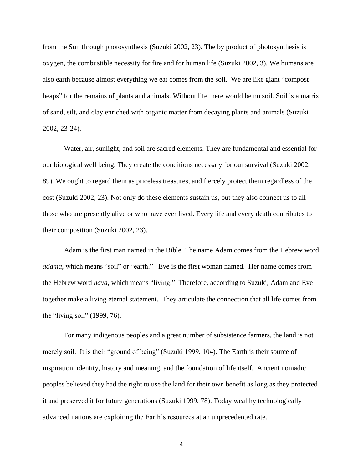from the Sun through photosynthesis (Suzuki 2002, 23). The by product of photosynthesis is oxygen, the combustible necessity for fire and for human life (Suzuki 2002, 3). We humans are also earth because almost everything we eat comes from the soil. We are like giant "compost heaps" for the remains of plants and animals. Without life there would be no soil. Soil is a matrix of sand, silt, and clay enriched with organic matter from decaying plants and animals (Suzuki 2002, 23-24).

Water, air, sunlight, and soil are sacred elements. They are fundamental and essential for our biological well being. They create the conditions necessary for our survival (Suzuki 2002, 89). We ought to regard them as priceless treasures, and fiercely protect them regardless of the cost (Suzuki 2002, 23). Not only do these elements sustain us, but they also connect us to all those who are presently alive or who have ever lived. Every life and every death contributes to their composition (Suzuki 2002, 23).

Adam is the first man named in the Bible. The name Adam comes from the Hebrew word *adama*, which means "soil" or "earth." Eve is the first woman named. Her name comes from the Hebrew word *hava*, which means "living." Therefore, according to Suzuki, Adam and Eve together make a living eternal statement. They articulate the connection that all life comes from the "living soil" (1999, 76).

For many indigenous peoples and a great number of subsistence farmers, the land is not merely soil. It is their "ground of being" (Suzuki 1999, 104). The Earth is their source of inspiration, identity, history and meaning, and the foundation of life itself. Ancient nomadic peoples believed they had the right to use the land for their own benefit as long as they protected it and preserved it for future generations (Suzuki 1999, 78). Today wealthy technologically advanced nations are exploiting the Earth"s resources at an unprecedented rate.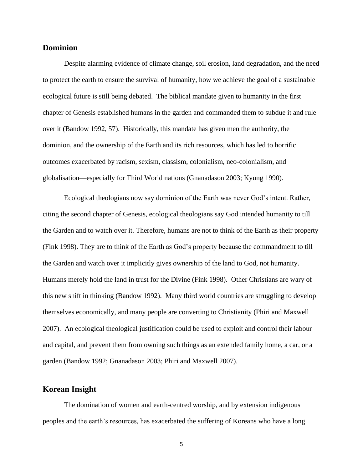#### **Dominion**

Despite alarming evidence of climate change, soil erosion, land degradation, and the need to protect the earth to ensure the survival of humanity, how we achieve the goal of a sustainable ecological future is still being debated. The biblical mandate given to humanity in the first chapter of Genesis established humans in the garden and commanded them to subdue it and rule over it (Bandow 1992, 57). Historically, this mandate has given men the authority, the dominion, and the ownership of the Earth and its rich resources, which has led to horrific outcomes exacerbated by racism, sexism, classism, colonialism, neo-colonialism, and globalisation—especially for Third World nations (Gnanadason 2003; Kyung 1990).

Ecological theologians now say dominion of the Earth was never God"s intent. Rather, citing the second chapter of Genesis, ecological theologians say God intended humanity to till the Garden and to watch over it. Therefore, humans are not to think of the Earth as their property (Fink 1998). They are to think of the Earth as God"s property because the commandment to till the Garden and watch over it implicitly gives ownership of the land to God, not humanity. Humans merely hold the land in trust for the Divine (Fink 1998). Other Christians are wary of this new shift in thinking (Bandow 1992). Many third world countries are struggling to develop themselves economically, and many people are converting to Christianity (Phiri and Maxwell 2007). An ecological theological justification could be used to exploit and control their labour and capital, and prevent them from owning such things as an extended family home, a car, or a garden (Bandow 1992; Gnanadason 2003; Phiri and Maxwell 2007).

### **Korean Insight**

The domination of women and earth-centred worship, and by extension indigenous peoples and the earth"s resources, has exacerbated the suffering of Koreans who have a long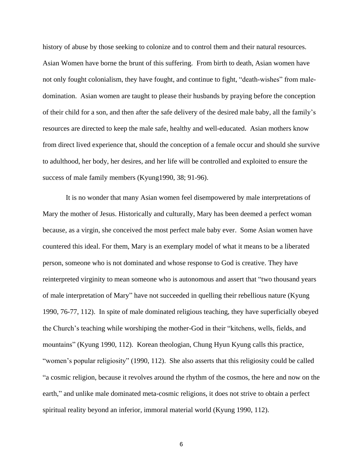history of abuse by those seeking to colonize and to control them and their natural resources. Asian Women have borne the brunt of this suffering. From birth to death, Asian women have not only fought colonialism, they have fought, and continue to fight, "death-wishes" from maledomination. Asian women are taught to please their husbands by praying before the conception of their child for a son, and then after the safe delivery of the desired male baby, all the family"s resources are directed to keep the male safe, healthy and well-educated. Asian mothers know from direct lived experience that, should the conception of a female occur and should she survive to adulthood, her body, her desires, and her life will be controlled and exploited to ensure the success of male family members (Kyung1990, 38; 91-96).

It is no wonder that many Asian women feel disempowered by male interpretations of Mary the mother of Jesus. Historically and culturally, Mary has been deemed a perfect woman because, as a virgin, she conceived the most perfect male baby ever. Some Asian women have countered this ideal. For them, Mary is an exemplary model of what it means to be a liberated person, someone who is not dominated and whose response to God is creative. They have reinterpreted virginity to mean someone who is autonomous and assert that "two thousand years of male interpretation of Mary" have not succeeded in quelling their rebellious nature (Kyung 1990, 76-77, 112). In spite of male dominated religious teaching, they have superficially obeyed the Church"s teaching while worshiping the mother-God in their "kitchens, wells, fields, and mountains" (Kyung 1990, 112). Korean theologian, Chung Hyun Kyung calls this practice, "women"s popular religiosity" (1990, 112). She also asserts that this religiosity could be called "a cosmic religion, because it revolves around the rhythm of the cosmos, the here and now on the earth," and unlike male dominated meta-cosmic religions, it does not strive to obtain a perfect spiritual reality beyond an inferior, immoral material world (Kyung 1990, 112).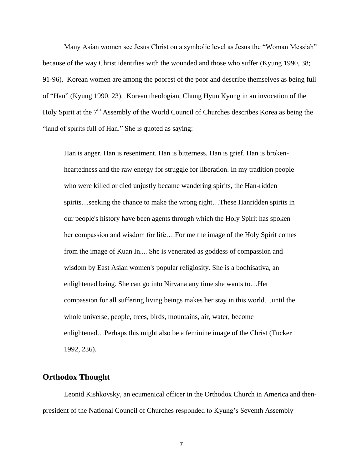Many Asian women see Jesus Christ on a symbolic level as Jesus the "Woman Messiah" because of the way Christ identifies with the wounded and those who suffer (Kyung 1990, 38; 91-96). Korean women are among the poorest of the poor and describe themselves as being full of "Han" (Kyung 1990, 23). Korean theologian, Chung Hyun Kyung in an invocation of the Holy Spirit at the  $7<sup>th</sup>$  Assembly of the World Council of Churches describes Korea as being the "land of spirits full of Han." She is quoted as saying:

Han is anger. Han is resentment. Han is bitterness. Han is grief. Han is brokenheartedness and the raw energy for struggle for liberation. In my tradition people who were killed or died unjustly became wandering spirits, the Han-ridden spirits…seeking the chance to make the wrong right…These Hanridden spirits in our people's history have been agents through which the Holy Spirit has spoken her compassion and wisdom for life….For me the image of the Holy Spirit comes from the image of Kuan In.... She is venerated as goddess of compassion and wisdom by East Asian women's popular religiosity. She is a bodhisativa, an enlightened being. She can go into Nirvana any time she wants to…Her compassion for all suffering living beings makes her stay in this world…until the whole universe, people, trees, birds, mountains, air, water, become enlightened…Perhaps this might also be a feminine image of the Christ (Tucker 1992, 236).

### **Orthodox Thought**

Leonid Kishkovsky, an ecumenical officer in the Orthodox Church in America and thenpresident of the National Council of Churches responded to Kyung"s Seventh Assembly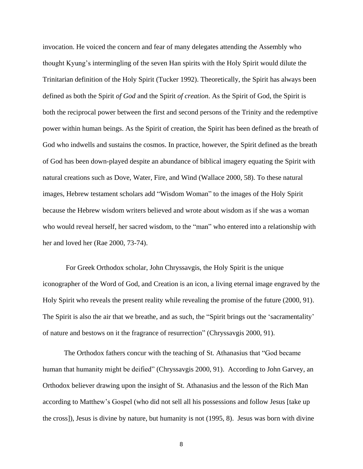invocation. He voiced the concern and fear of many delegates attending the Assembly who thought Kyung"s intermingling of the seven Han spirits with the Holy Spirit would dilute the Trinitarian definition of the Holy Spirit (Tucker 1992). Theoretically, the Spirit has always been defined as both the Spirit *of God* and the Spirit *of creation*. As the Spirit of God, the Spirit is both the reciprocal power between the first and second persons of the Trinity and the redemptive power within human beings. As the Spirit of creation, the Spirit has been defined as the breath of God who indwells and sustains the cosmos. In practice, however, the Spirit defined as the breath of God has been down-played despite an abundance of biblical imagery equating the Spirit with natural creations such as Dove, Water, Fire, and Wind (Wallace 2000, 58). To these natural images, Hebrew testament scholars add "Wisdom Woman" to the images of the Holy Spirit because the Hebrew wisdom writers believed and wrote about wisdom as if she was a woman who would reveal herself, her sacred wisdom, to the "man" who entered into a relationship with her and loved her (Rae 2000, 73-74).

For Greek Orthodox scholar, John Chryssavgis, the Holy Spirit is the unique iconographer of the Word of God, and Creation is an icon, a living eternal image engraved by the Holy Spirit who reveals the present reality while revealing the promise of the future (2000, 91). The Spirit is also the air that we breathe, and as such, the "Spirit brings out the 'sacramentality' of nature and bestows on it the fragrance of resurrection" (Chryssavgis 2000, 91).

The Orthodox fathers concur with the teaching of St. Athanasius that "God became human that humanity might be deified" (Chryssavgis 2000, 91). According to John Garvey, an Orthodox believer drawing upon the insight of St. Athanasius and the lesson of the Rich Man according to Matthew"s Gospel (who did not sell all his possessions and follow Jesus [take up the cross]), Jesus is divine by nature, but humanity is not (1995, 8). Jesus was born with divine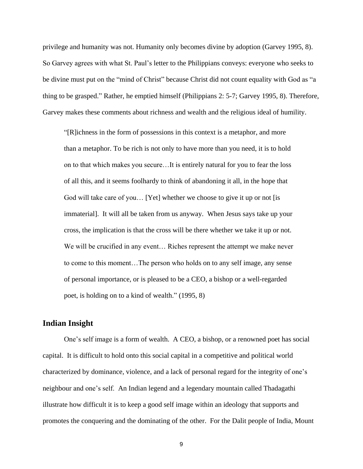privilege and humanity was not. Humanity only becomes divine by adoption (Garvey 1995, 8). So Garvey agrees with what St. Paul"s letter to the Philippians conveys: everyone who seeks to be divine must put on the "mind of Christ" because Christ did not count equality with God as "a thing to be grasped." Rather, he emptied himself (Philippians 2: 5-7; Garvey 1995, 8). Therefore, Garvey makes these comments about richness and wealth and the religious ideal of humility.

"[R]ichness in the form of possessions in this context is a metaphor, and more than a metaphor. To be rich is not only to have more than you need, it is to hold on to that which makes you secure…It is entirely natural for you to fear the loss of all this, and it seems foolhardy to think of abandoning it all, in the hope that God will take care of you… [Yet] whether we choose to give it up or not [is immaterial]. It will all be taken from us anyway. When Jesus says take up your cross, the implication is that the cross will be there whether we take it up or not. We will be crucified in any event… Riches represent the attempt we make never to come to this moment…The person who holds on to any self image, any sense of personal importance, or is pleased to be a CEO, a bishop or a well-regarded poet, is holding on to a kind of wealth." (1995, 8)

## **Indian Insight**

One"s self image is a form of wealth. A CEO, a bishop, or a renowned poet has social capital. It is difficult to hold onto this social capital in a competitive and political world characterized by dominance, violence, and a lack of personal regard for the integrity of one"s neighbour and one"s self. An Indian legend and a legendary mountain called Thadagathi illustrate how difficult it is to keep a good self image within an ideology that supports and promotes the conquering and the dominating of the other. For the Dalit people of India, Mount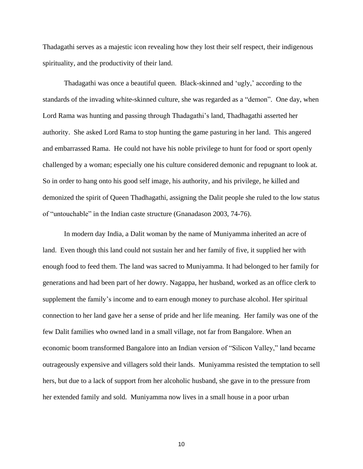Thadagathi serves as a majestic icon revealing how they lost their self respect, their indigenous spirituality, and the productivity of their land.

Thadagathi was once a beautiful queen. Black-skinned and 'ugly,' according to the standards of the invading white-skinned culture, she was regarded as a "demon". One day, when Lord Rama was hunting and passing through Thadagathi"s land, Thadhagathi asserted her authority. She asked Lord Rama to stop hunting the game pasturing in her land. This angered and embarrassed Rama. He could not have his noble privilege to hunt for food or sport openly challenged by a woman; especially one his culture considered demonic and repugnant to look at. So in order to hang onto his good self image, his authority, and his privilege, he killed and demonized the spirit of Queen Thadhagathi, assigning the Dalit people she ruled to the low status of "untouchable" in the Indian caste structure (Gnanadason 2003, 74-76).

In modern day India, a Dalit woman by the name of Muniyamma inherited an acre of land. Even though this land could not sustain her and her family of five, it supplied her with enough food to feed them. The land was sacred to Muniyamma. It had belonged to her family for generations and had been part of her dowry. Nagappa, her husband, worked as an office clerk to supplement the family's income and to earn enough money to purchase alcohol. Her spiritual connection to her land gave her a sense of pride and her life meaning. Her family was one of the few Dalit families who owned land in a small village, not far from Bangalore. When an economic boom transformed Bangalore into an Indian version of "Silicon Valley," land became outrageously expensive and villagers sold their lands. Muniyamma resisted the temptation to sell hers, but due to a lack of support from her alcoholic husband, she gave in to the pressure from her extended family and sold. Muniyamma now lives in a small house in a poor urban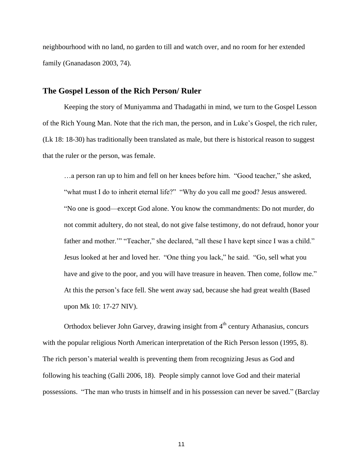neighbourhood with no land, no garden to till and watch over, and no room for her extended family (Gnanadason 2003, 74).

#### **The Gospel Lesson of the Rich Person/ Ruler**

Keeping the story of Muniyamma and Thadagathi in mind, we turn to the Gospel Lesson of the Rich Young Man. Note that the rich man, the person, and in Luke"s Gospel, the rich ruler, (Lk 18: 18-30) has traditionally been translated as male, but there is historical reason to suggest that the ruler or the person, was female.

…a person ran up to him and fell on her knees before him. "Good teacher," she asked, "what must I do to inherit eternal life?" "Why do you call me good? Jesus answered. "No one is good—except God alone. You know the commandments: Do not murder, do not commit adultery, do not steal, do not give false testimony, do not defraud, honor your father and mother."" "Teacher," she declared, "all these I have kept since I was a child." Jesus looked at her and loved her. "One thing you lack," he said. "Go, sell what you have and give to the poor, and you will have treasure in heaven. Then come, follow me." At this the person"s face fell. She went away sad, because she had great wealth (Based upon Mk 10: 17-27 NIV).

Orthodox believer John Garvey, drawing insight from  $4<sup>th</sup>$  century Athanasius, concurs with the popular religious North American interpretation of the Rich Person lesson (1995, 8). The rich person"s material wealth is preventing them from recognizing Jesus as God and following his teaching (Galli 2006, 18). People simply cannot love God and their material possessions. "The man who trusts in himself and in his possession can never be saved." (Barclay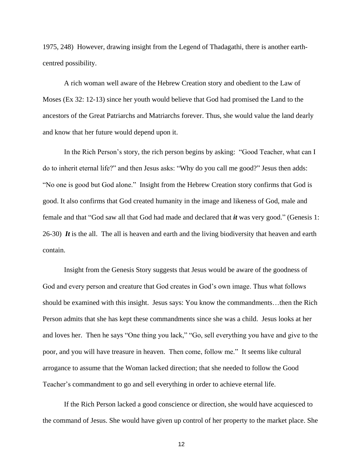1975, 248) However, drawing insight from the Legend of Thadagathi, there is another earthcentred possibility.

A rich woman well aware of the Hebrew Creation story and obedient to the Law of Moses (Ex 32: 12-13) since her youth would believe that God had promised the Land to the ancestors of the Great Patriarchs and Matriarchs forever. Thus, she would value the land dearly and know that her future would depend upon it.

In the Rich Person"s story, the rich person begins by asking: "Good Teacher, what can I do to inherit eternal life?" and then Jesus asks: "Why do you call me good?" Jesus then adds: "No one is good but God alone." Insight from the Hebrew Creation story confirms that God is good. It also confirms that God created humanity in the image and likeness of God, male and female and that "God saw all that God had made and declared that *it* was very good." (Genesis 1: 26-30) *It* is the all. The all is heaven and earth and the living biodiversity that heaven and earth contain.

Insight from the Genesis Story suggests that Jesus would be aware of the goodness of God and every person and creature that God creates in God's own image. Thus what follows should be examined with this insight. Jesus says: You know the commandments…then the Rich Person admits that she has kept these commandments since she was a child. Jesus looks at her and loves her. Then he says "One thing you lack," "Go, sell everything you have and give to the poor, and you will have treasure in heaven. Then come, follow me." It seems like cultural arrogance to assume that the Woman lacked direction; that she needed to follow the Good Teacher"s commandment to go and sell everything in order to achieve eternal life.

If the Rich Person lacked a good conscience or direction, she would have acquiesced to the command of Jesus. She would have given up control of her property to the market place. She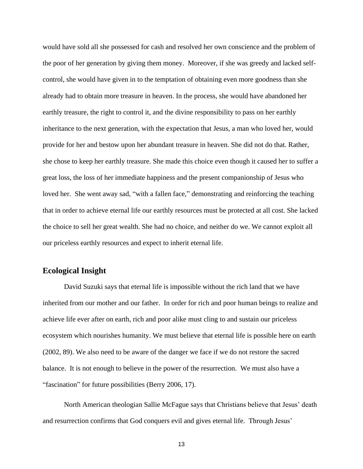would have sold all she possessed for cash and resolved her own conscience and the problem of the poor of her generation by giving them money. Moreover, if she was greedy and lacked selfcontrol, she would have given in to the temptation of obtaining even more goodness than she already had to obtain more treasure in heaven. In the process, she would have abandoned her earthly treasure, the right to control it, and the divine responsibility to pass on her earthly inheritance to the next generation, with the expectation that Jesus, a man who loved her, would provide for her and bestow upon her abundant treasure in heaven. She did not do that. Rather, she chose to keep her earthly treasure. She made this choice even though it caused her to suffer a great loss, the loss of her immediate happiness and the present companionship of Jesus who loved her. She went away sad, "with a fallen face," demonstrating and reinforcing the teaching that in order to achieve eternal life our earthly resources must be protected at all cost. She lacked the choice to sell her great wealth. She had no choice, and neither do we. We cannot exploit all our priceless earthly resources and expect to inherit eternal life.

### **Ecological Insight**

David Suzuki says that eternal life is impossible without the rich land that we have inherited from our mother and our father. In order for rich and poor human beings to realize and achieve life ever after on earth, rich and poor alike must cling to and sustain our priceless ecosystem which nourishes humanity. We must believe that eternal life is possible here on earth (2002, 89). We also need to be aware of the danger we face if we do not restore the sacred balance. It is not enough to believe in the power of the resurrection. We must also have a "fascination" for future possibilities (Berry 2006, 17).

North American theologian Sallie McFague says that Christians believe that Jesus" death and resurrection confirms that God conquers evil and gives eternal life. Through Jesus'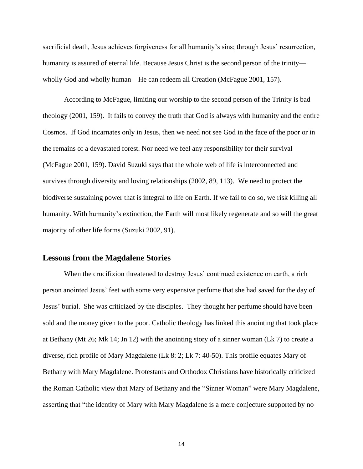sacrificial death, Jesus achieves forgiveness for all humanity's sins; through Jesus' resurrection, humanity is assured of eternal life. Because Jesus Christ is the second person of the trinity wholly God and wholly human—He can redeem all Creation (McFague 2001, 157).

According to McFague, limiting our worship to the second person of the Trinity is bad theology (2001, 159). It fails to convey the truth that God is always with humanity and the entire Cosmos. If God incarnates only in Jesus, then we need not see God in the face of the poor or in the remains of a devastated forest. Nor need we feel any responsibility for their survival (McFague 2001, 159). David Suzuki says that the whole web of life is interconnected and survives through diversity and loving relationships (2002, 89, 113). We need to protect the biodiverse sustaining power that is integral to life on Earth. If we fail to do so, we risk killing all humanity. With humanity's extinction, the Earth will most likely regenerate and so will the great majority of other life forms (Suzuki 2002, 91).

## **Lessons from the Magdalene Stories**

When the crucifixion threatened to destroy Jesus' continued existence on earth, a rich person anointed Jesus" feet with some very expensive perfume that she had saved for the day of Jesus" burial. She was criticized by the disciples. They thought her perfume should have been sold and the money given to the poor. Catholic theology has linked this anointing that took place at Bethany (Mt 26; Mk 14; Jn 12) with the anointing story of a sinner woman (Lk 7) to create a diverse, rich profile of Mary Magdalene (Lk 8: 2; Lk 7: 40-50). This profile equates Mary of Bethany with Mary Magdalene. Protestants and Orthodox Christians have historically criticized the Roman Catholic view that Mary of Bethany and the "Sinner Woman" were Mary Magdalene, asserting that "the identity of Mary with Mary Magdalene is a mere conjecture supported by no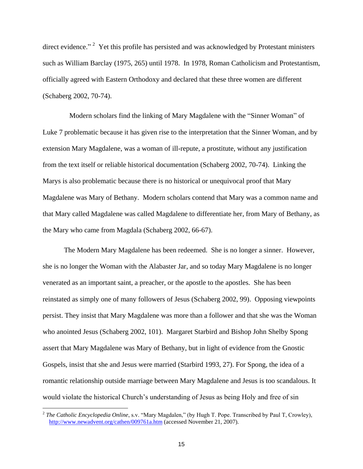direct evidence." <sup>2</sup> Yet this profile has persisted and was acknowledged by Protestant ministers such as William Barclay (1975, 265) until 1978. In 1978, Roman Catholicism and Protestantism, officially agreed with Eastern Orthodoxy and declared that these three women are different (Schaberg 2002, 70-74).

 Modern scholars find the linking of Mary Magdalene with the "Sinner Woman" of Luke 7 problematic because it has given rise to the interpretation that the Sinner Woman, and by extension Mary Magdalene, was a woman of ill-repute, a prostitute, without any justification from the text itself or reliable historical documentation (Schaberg 2002, 70-74). Linking the Marys is also problematic because there is no historical or unequivocal proof that Mary Magdalene was Mary of Bethany. Modern scholars contend that Mary was a common name and that Mary called Magdalene was called Magdalene to differentiate her, from Mary of Bethany, as the Mary who came from Magdala (Schaberg 2002, 66-67).

The Modern Mary Magdalene has been redeemed. She is no longer a sinner. However, she is no longer the Woman with the Alabaster Jar, and so today Mary Magdalene is no longer venerated as an important saint, a preacher, or the apostle to the apostles. She has been reinstated as simply one of many followers of Jesus (Schaberg 2002, 99). Opposing viewpoints persist. They insist that Mary Magdalene was more than a follower and that she was the Woman who anointed Jesus (Schaberg 2002, 101). Margaret Starbird and Bishop John Shelby Spong assert that Mary Magdalene was Mary of Bethany, but in light of evidence from the Gnostic Gospels, insist that she and Jesus were married (Starbird 1993, 27). For Spong, the idea of a romantic relationship outside marriage between Mary Magdalene and Jesus is too scandalous. It would violate the historical Church"s understanding of Jesus as being Holy and free of sin

 2 *The Catholic Encyclopedia Online*, s.v. "Mary Magdalen," (by Hugh T. Pope. Transcribed by Paul T, Crowley), <http://www.newadvent.org/cathen/009761a.htm> (accessed November 21, 2007).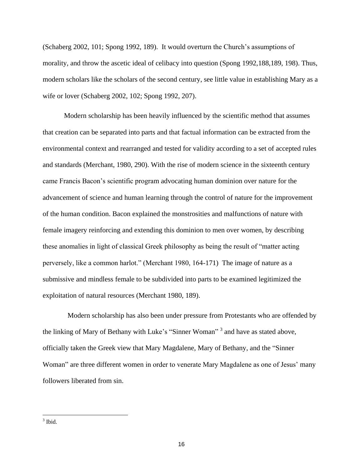(Schaberg 2002, 101; Spong 1992, 189). It would overturn the Church"s assumptions of morality, and throw the ascetic ideal of celibacy into question (Spong 1992,188,189, 198). Thus, modern scholars like the scholars of the second century, see little value in establishing Mary as a wife or lover (Schaberg 2002, 102; Spong 1992, 207).

Modern scholarship has been heavily influenced by the scientific method that assumes that creation can be separated into parts and that factual information can be extracted from the environmental context and rearranged and tested for validity according to a set of accepted rules and standards (Merchant, 1980, 290). With the rise of modern science in the sixteenth century came Francis Bacon"s scientific program advocating human dominion over nature for the advancement of science and human learning through the control of nature for the improvement of the human condition. Bacon explained the monstrosities and malfunctions of nature with female imagery reinforcing and extending this dominion to men over women, by describing these anomalies in light of classical Greek philosophy as being the result of "matter acting perversely, like a common harlot." (Merchant 1980, 164-171) The image of nature as a submissive and mindless female to be subdivided into parts to be examined legitimized the exploitation of natural resources (Merchant 1980, 189).

Modern scholarship has also been under pressure from Protestants who are offended by the linking of Mary of Bethany with Luke's "Sinner Woman"<sup>3</sup> and have as stated above, officially taken the Greek view that Mary Magdalene, Mary of Bethany, and the "Sinner Woman" are three different women in order to venerate Mary Magdalene as one of Jesus' many followers liberated from sin.

<sup>3</sup> Ibid.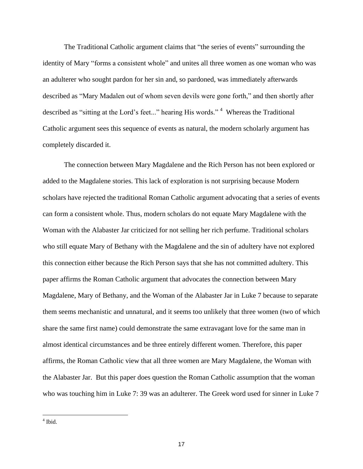The Traditional Catholic argument claims that "the series of events" surrounding the identity of Mary "forms a consistent whole" and unites all three women as one woman who was an adulterer who sought pardon for her sin and, so pardoned, was immediately afterwards described as "Mary Madalen out of whom seven devils were gone forth," and then shortly after described as "sitting at the Lord's feet..." hearing His words."<sup>4</sup> Whereas the Traditional Catholic argument sees this sequence of events as natural, the modern scholarly argument has completely discarded it.

The connection between Mary Magdalene and the Rich Person has not been explored or added to the Magdalene stories. This lack of exploration is not surprising because Modern scholars have rejected the traditional Roman Catholic argument advocating that a series of events can form a consistent whole. Thus, modern scholars do not equate Mary Magdalene with the Woman with the Alabaster Jar criticized for not selling her rich perfume. Traditional scholars who still equate Mary of Bethany with the Magdalene and the sin of adultery have not explored this connection either because the Rich Person says that she has not committed adultery. This paper affirms the Roman Catholic argument that advocates the connection between Mary Magdalene, Mary of Bethany, and the Woman of the Alabaster Jar in Luke 7 because to separate them seems mechanistic and unnatural, and it seems too unlikely that three women (two of which share the same first name) could demonstrate the same extravagant love for the same man in almost identical circumstances and be three entirely different women. Therefore, this paper affirms, the Roman Catholic view that all three women are Mary Magdalene, the Woman with the Alabaster Jar. But this paper does question the Roman Catholic assumption that the woman who was touching him in Luke 7: 39 was an adulterer. The Greek word used for sinner in Luke 7

<sup>4</sup> Ibid.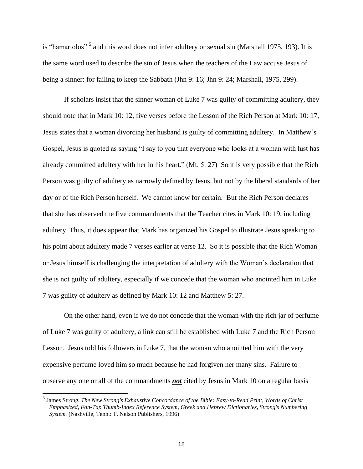is "hamartōlos"<sup>5</sup> and this word does not infer adultery or sexual sin (Marshall 1975, 193). It is the same word used to describe the sin of Jesus when the teachers of the Law accuse Jesus of being a sinner: for failing to keep the Sabbath (Jhn 9: 16; Jhn 9: 24; Marshall, 1975, 299).

If scholars insist that the sinner woman of Luke 7 was guilty of committing adultery, they should note that in Mark 10: 12, five verses before the Lesson of the Rich Person at Mark 10: 17, Jesus states that a woman divorcing her husband is guilty of committing adultery. In Matthew"s Gospel, Jesus is quoted as saying "I say to you that everyone who looks at a woman with lust has already committed adultery with her in his heart." (Mt. 5: 27) So it is very possible that the Rich Person was guilty of adultery as narrowly defined by Jesus, but not by the liberal standards of her day or of the Rich Person herself. We cannot know for certain. But the Rich Person declares that she has observed the five commandments that the Teacher cites in Mark 10: 19, including adultery. Thus, it does appear that Mark has organized his Gospel to illustrate Jesus speaking to his point about adultery made 7 verses earlier at verse 12. So it is possible that the Rich Woman or Jesus himself is challenging the interpretation of adultery with the Woman"s declaration that she is not guilty of adultery, especially if we concede that the woman who anointed him in Luke 7 was guilty of adultery as defined by Mark 10: 12 and Matthew 5: 27.

On the other hand, even if we do not concede that the woman with the rich jar of perfume of Luke 7 was guilty of adultery, a link can still be established with Luke 7 and the Rich Person Lesson. Jesus told his followers in Luke 7, that the woman who anointed him with the very expensive perfume loved him so much because he had forgiven her many sins. Failure to observe any one or all of the commandments *not* cited by Jesus in Mark 10 on a regular basis

<sup>5</sup> James Strong, *The New Strong's Exhaustive Concordance of the Bible: Easy-to-Read Print, Words of Christ Emphasized, Fan-Tap Thumb-Index Reference System, Greek and Hebrew Dictionaries, Strong's Numbering System.* (Nashville, Tenn.: T. Nelson Publishers, 1996)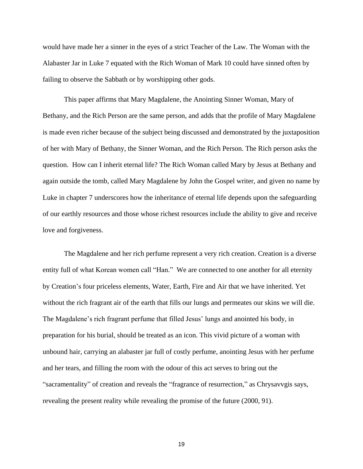would have made her a sinner in the eyes of a strict Teacher of the Law. The Woman with the Alabaster Jar in Luke 7 equated with the Rich Woman of Mark 10 could have sinned often by failing to observe the Sabbath or by worshipping other gods.

This paper affirms that Mary Magdalene, the Anointing Sinner Woman, Mary of Bethany, and the Rich Person are the same person, and adds that the profile of Mary Magdalene is made even richer because of the subject being discussed and demonstrated by the juxtaposition of her with Mary of Bethany, the Sinner Woman, and the Rich Person. The Rich person asks the question. How can I inherit eternal life? The Rich Woman called Mary by Jesus at Bethany and again outside the tomb, called Mary Magdalene by John the Gospel writer, and given no name by Luke in chapter 7 underscores how the inheritance of eternal life depends upon the safeguarding of our earthly resources and those whose richest resources include the ability to give and receive love and forgiveness.

The Magdalene and her rich perfume represent a very rich creation. Creation is a diverse entity full of what Korean women call "Han." We are connected to one another for all eternity by Creation"s four priceless elements, Water, Earth, Fire and Air that we have inherited. Yet without the rich fragrant air of the earth that fills our lungs and permeates our skins we will die. The Magdalene's rich fragrant perfume that filled Jesus' lungs and anointed his body, in preparation for his burial, should be treated as an icon. This vivid picture of a woman with unbound hair, carrying an alabaster jar full of costly perfume, anointing Jesus with her perfume and her tears, and filling the room with the odour of this act serves to bring out the "sacramentality" of creation and reveals the "fragrance of resurrection," as Chrysavvgis says, revealing the present reality while revealing the promise of the future (2000, 91).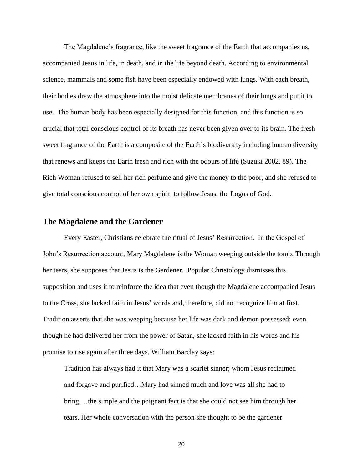The Magdalene"s fragrance, like the sweet fragrance of the Earth that accompanies us, accompanied Jesus in life, in death, and in the life beyond death. According to environmental science, mammals and some fish have been especially endowed with lungs. With each breath, their bodies draw the atmosphere into the moist delicate membranes of their lungs and put it to use. The human body has been especially designed for this function, and this function is so crucial that total conscious control of its breath has never been given over to its brain. The fresh sweet fragrance of the Earth is a composite of the Earth"s biodiversity including human diversity that renews and keeps the Earth fresh and rich with the odours of life (Suzuki 2002, 89). The Rich Woman refused to sell her rich perfume and give the money to the poor, and she refused to give total conscious control of her own spirit, to follow Jesus, the Logos of God.

#### **The Magdalene and the Gardener**

Every Easter, Christians celebrate the ritual of Jesus" Resurrection. In the Gospel of John"s Resurrection account, Mary Magdalene is the Woman weeping outside the tomb. Through her tears, she supposes that Jesus is the Gardener. Popular Christology dismisses this supposition and uses it to reinforce the idea that even though the Magdalene accompanied Jesus to the Cross, she lacked faith in Jesus" words and, therefore, did not recognize him at first. Tradition asserts that she was weeping because her life was dark and demon possessed; even though he had delivered her from the power of Satan, she lacked faith in his words and his promise to rise again after three days. William Barclay says:

Tradition has always had it that Mary was a scarlet sinner; whom Jesus reclaimed and forgave and purified…Mary had sinned much and love was all she had to bring …the simple and the poignant fact is that she could not see him through her tears. Her whole conversation with the person she thought to be the gardener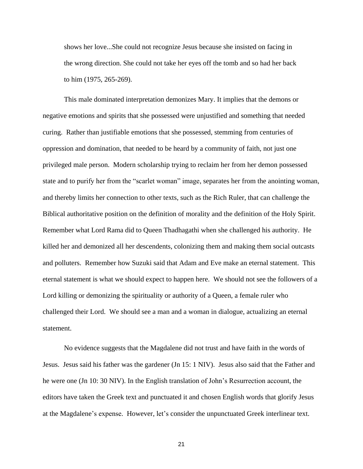shows her love...She could not recognize Jesus because she insisted on facing in the wrong direction. She could not take her eyes off the tomb and so had her back to him (1975, 265-269).

This male dominated interpretation demonizes Mary. It implies that the demons or negative emotions and spirits that she possessed were unjustified and something that needed curing. Rather than justifiable emotions that she possessed, stemming from centuries of oppression and domination, that needed to be heard by a community of faith, not just one privileged male person. Modern scholarship trying to reclaim her from her demon possessed state and to purify her from the "scarlet woman" image, separates her from the anointing woman, and thereby limits her connection to other texts, such as the Rich Ruler, that can challenge the Biblical authoritative position on the definition of morality and the definition of the Holy Spirit. Remember what Lord Rama did to Queen Thadhagathi when she challenged his authority. He killed her and demonized all her descendents, colonizing them and making them social outcasts and polluters. Remember how Suzuki said that Adam and Eve make an eternal statement. This eternal statement is what we should expect to happen here. We should not see the followers of a Lord killing or demonizing the spirituality or authority of a Queen, a female ruler who challenged their Lord. We should see a man and a woman in dialogue, actualizing an eternal statement.

No evidence suggests that the Magdalene did not trust and have faith in the words of Jesus. Jesus said his father was the gardener (Jn 15: 1 NIV). Jesus also said that the Father and he were one (Jn 10: 30 NIV). In the English translation of John"s Resurrection account, the editors have taken the Greek text and punctuated it and chosen English words that glorify Jesus at the Magdalene"s expense. However, let"s consider the unpunctuated Greek interlinear text.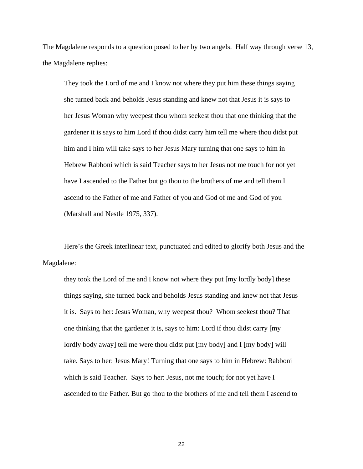The Magdalene responds to a question posed to her by two angels. Half way through verse 13, the Magdalene replies:

They took the Lord of me and I know not where they put him these things saying she turned back and beholds Jesus standing and knew not that Jesus it is says to her Jesus Woman why weepest thou whom seekest thou that one thinking that the gardener it is says to him Lord if thou didst carry him tell me where thou didst put him and I him will take says to her Jesus Mary turning that one says to him in Hebrew Rabboni which is said Teacher says to her Jesus not me touch for not yet have I ascended to the Father but go thou to the brothers of me and tell them I ascend to the Father of me and Father of you and God of me and God of you (Marshall and Nestle 1975, 337).

Here"s the Greek interlinear text, punctuated and edited to glorify both Jesus and the Magdalene:

they took the Lord of me and I know not where they put [my lordly body] these things saying, she turned back and beholds Jesus standing and knew not that Jesus it is. Says to her: Jesus Woman, why weepest thou? Whom seekest thou? That one thinking that the gardener it is, says to him: Lord if thou didst carry [my lordly body away] tell me were thou didst put [my body] and I [my body] will take. Says to her: Jesus Mary! Turning that one says to him in Hebrew: Rabboni which is said Teacher. Says to her: Jesus, not me touch; for not yet have I ascended to the Father. But go thou to the brothers of me and tell them I ascend to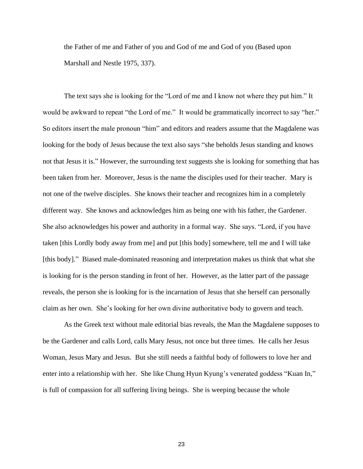the Father of me and Father of you and God of me and God of you (Based upon Marshall and Nestle 1975, 337).

The text says she is looking for the "Lord of me and I know not where they put him." It would be awkward to repeat "the Lord of me." It would be grammatically incorrect to say "her." So editors insert the male pronoun "him" and editors and readers assume that the Magdalene was looking for the body of Jesus because the text also says "she beholds Jesus standing and knows not that Jesus it is." However, the surrounding text suggests she is looking for something that has been taken from her. Moreover, Jesus is the name the disciples used for their teacher. Mary is not one of the twelve disciples. She knows their teacher and recognizes him in a completely different way. She knows and acknowledges him as being one with his father, the Gardener. She also acknowledges his power and authority in a formal way. She says. "Lord, if you have taken [this Lordly body away from me] and put [this body] somewhere, tell me and I will take [this body]." Biased male-dominated reasoning and interpretation makes us think that what she is looking for is the person standing in front of her. However, as the latter part of the passage reveals, the person she is looking for is the incarnation of Jesus that she herself can personally claim as her own. She"s looking for her own divine authoritative body to govern and teach.

As the Greek text without male editorial bias reveals, the Man the Magdalene supposes to be the Gardener and calls Lord, calls Mary Jesus, not once but three times. He calls her Jesus Woman, Jesus Mary and Jesus. But she still needs a faithful body of followers to love her and enter into a relationship with her. She like Chung Hyun Kyung's venerated goddess "Kuan In," is full of compassion for all suffering living beings. She is weeping because the whole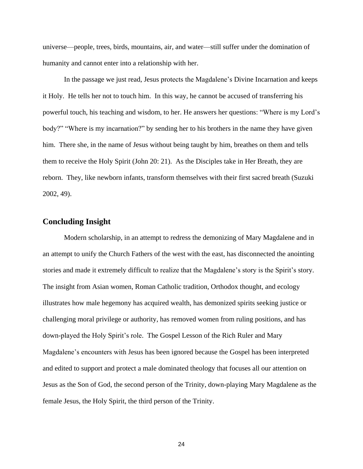universe—people, trees, birds, mountains, air, and water—still suffer under the domination of humanity and cannot enter into a relationship with her.

In the passage we just read, Jesus protects the Magdalene"s Divine Incarnation and keeps it Holy. He tells her not to touch him. In this way, he cannot be accused of transferring his powerful touch, his teaching and wisdom, to her. He answers her questions: "Where is my Lord"s body?" "Where is my incarnation?" by sending her to his brothers in the name they have given him. There she, in the name of Jesus without being taught by him, breathes on them and tells them to receive the Holy Spirit (John 20: 21). As the Disciples take in Her Breath, they are reborn. They, like newborn infants, transform themselves with their first sacred breath (Suzuki 2002, 49).

## **Concluding Insight**

Modern scholarship, in an attempt to redress the demonizing of Mary Magdalene and in an attempt to unify the Church Fathers of the west with the east, has disconnected the anointing stories and made it extremely difficult to realize that the Magdalene's story is the Spirit's story. The insight from Asian women, Roman Catholic tradition, Orthodox thought, and ecology illustrates how male hegemony has acquired wealth, has demonized spirits seeking justice or challenging moral privilege or authority, has removed women from ruling positions, and has down-played the Holy Spirit"s role. The Gospel Lesson of the Rich Ruler and Mary Magdalene"s encounters with Jesus has been ignored because the Gospel has been interpreted and edited to support and protect a male dominated theology that focuses all our attention on Jesus as the Son of God, the second person of the Trinity, down-playing Mary Magdalene as the female Jesus, the Holy Spirit, the third person of the Trinity.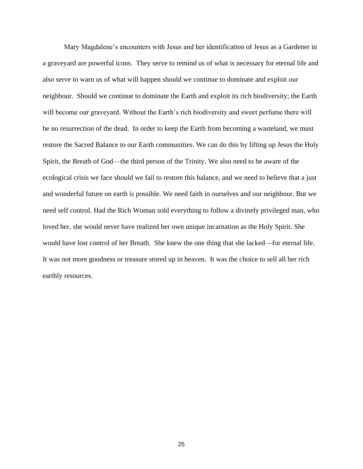Mary Magdalene"s encounters with Jesus and her identification of Jesus as a Gardener in a graveyard are powerful icons. They serve to remind us of what is necessary for eternal life and also serve to warn us of what will happen should we continue to dominate and exploit our neighbour. Should we continue to dominate the Earth and exploit its rich biodiversity; the Earth will become our graveyard. Without the Earth's rich biodiversity and sweet perfume there will be no resurrection of the dead. In order to keep the Earth from becoming a wasteland, we must restore the Sacred Balance to our Earth communities. We can do this by lifting up Jesus the Holy Spirit, the Breath of God—the third person of the Trinity. We also need to be aware of the ecological crisis we face should we fail to restore this balance, and we need to believe that a just and wonderful future on earth is possible. We need faith in ourselves and our neighbour. But we need self control. Had the Rich Woman sold everything to follow a divinely privileged man, who loved her, she would never have realized her own unique incarnation as the Holy Spirit. She would have lost control of her Breath. She knew the one thing that she lacked—for eternal life. It was not more goodness or treasure stored up in heaven. It was the choice to sell all her rich earthly resources.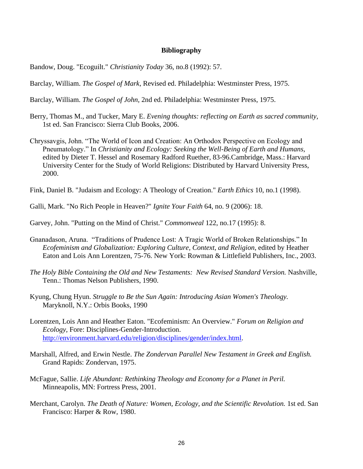#### **Bibliography**

Bandow, Doug. "Ecoguilt." *Christianity Today* 36, no.8 (1992): 57.

Barclay, William. *The Gospel of Mark,* Revised ed. Philadelphia: Westminster Press, 1975.

Barclay, William. *The Gospel of John,* 2nd ed. Philadelphia: Westminster Press, 1975.

- Berry, Thomas M., and Tucker, Mary E. *Evening thoughts: reflecting on Earth as sacred community,*  1st ed. San Francisco: Sierra Club Books, 2006.
- Chryssavgis, John. "The World of Icon and Creation: An Orthodox Perspective on Ecology and Pneumatology." In *Christianity and Ecology: Seeking the Well-Being of Earth and Humans,* edited by Dieter T. Hessel and Rosemary Radford Ruether, 83-96.Cambridge, Mass.: Harvard University Center for the Study of World Religions: Distributed by Harvard University Press, 2000.

Fink, Daniel B. "Judaism and Ecology: A Theology of Creation." *Earth Ethics* 10, no.1 (1998).

Galli, Mark. "No Rich People in Heaven?" *Ignite Your Faith* 64, no. 9 (2006): 18.

Garvey, John. "Putting on the Mind of Christ." *Commonweal* 122, no.17 (1995): 8.

- Gnanadason, Aruna. "Traditions of Prudence Lost: A Tragic World of Broken Relationships." In *Ecofeminism and Globalization: Exploring Culture, Context, and Religion*, edited by Heather Eaton and Lois Ann Lorentzen, 75-76. New York: Rowman & Littlefield Publishers, Inc., 2003.
- *The Holy Bible Containing the Old and New Testaments: New Revised Standard Version.* Nashville, Tenn.: Thomas Nelson Publishers, 1990.
- Kyung, Chung Hyun. *Struggle to Be the Sun Again: Introducing Asian Women's Theology.* Maryknoll, N.Y.: Orbis Books, 1990
- Lorentzen, Lois Ann and Heather Eaton. "Ecofeminism: An Overview." *Forum on Religion and Ecology,* Fore: Disciplines-Gender-Introduction. [http://environment.harvard.edu/religion/disciplines/gender/index.html.](http://environment.harvard.edu/religion/disciplines/gender/index.html)
- Marshall, Alfred, and Erwin Nestle. *The Zondervan Parallel New Testament in Greek and English.* Grand Rapids: Zondervan, 1975.
- McFague, Sallie. *Life Abundant: Rethinking Theology and Economy for a Planet in Peril.* Minneapolis, MN: Fortress Press, 2001.
- Merchant, Carolyn. *The Death of Nature: Women, Ecology, and the Scientific Revolution.* 1st ed. San Francisco: Harper & Row, 1980.